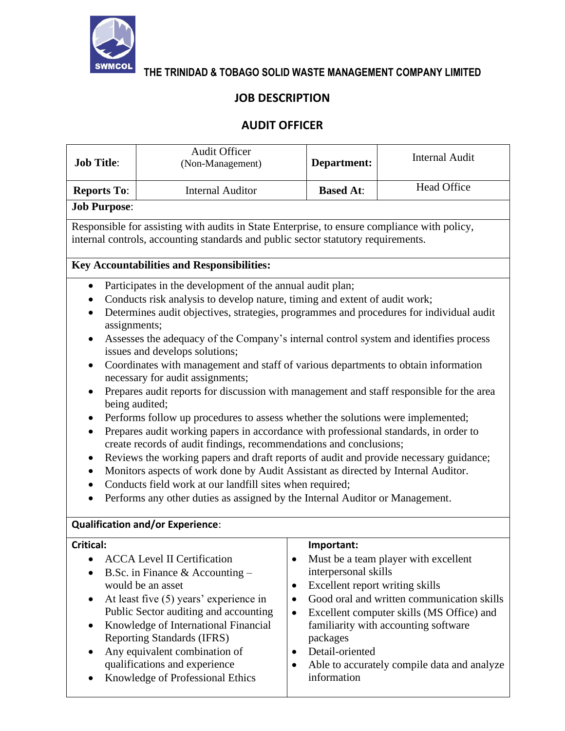

**THE TRINIDAD & TOBAGO SOLID WASTE MANAGEMENT COMPANY LIMITED**

## **JOB DESCRIPTION**

## **AUDIT OFFICER**

| <b>Job Title:</b>                                                                                                                                                                                                                                                                                                                                                                                                                                                                                                                                                                                                                                                                                                                                                                                                                                                                                                                                                                                                                                                                                                                                                                                                                                                                                                                               | <b>Audit Officer</b><br>(Non-Management)                                                                                                                                                                                                                     | Department:                                                                                                                   | <b>Internal Audit</b>                                                                                                                                                   |
|-------------------------------------------------------------------------------------------------------------------------------------------------------------------------------------------------------------------------------------------------------------------------------------------------------------------------------------------------------------------------------------------------------------------------------------------------------------------------------------------------------------------------------------------------------------------------------------------------------------------------------------------------------------------------------------------------------------------------------------------------------------------------------------------------------------------------------------------------------------------------------------------------------------------------------------------------------------------------------------------------------------------------------------------------------------------------------------------------------------------------------------------------------------------------------------------------------------------------------------------------------------------------------------------------------------------------------------------------|--------------------------------------------------------------------------------------------------------------------------------------------------------------------------------------------------------------------------------------------------------------|-------------------------------------------------------------------------------------------------------------------------------|-------------------------------------------------------------------------------------------------------------------------------------------------------------------------|
| <b>Reports To:</b>                                                                                                                                                                                                                                                                                                                                                                                                                                                                                                                                                                                                                                                                                                                                                                                                                                                                                                                                                                                                                                                                                                                                                                                                                                                                                                                              | <b>Internal Auditor</b>                                                                                                                                                                                                                                      | <b>Based At:</b>                                                                                                              | <b>Head Office</b>                                                                                                                                                      |
| <b>Job Purpose:</b>                                                                                                                                                                                                                                                                                                                                                                                                                                                                                                                                                                                                                                                                                                                                                                                                                                                                                                                                                                                                                                                                                                                                                                                                                                                                                                                             |                                                                                                                                                                                                                                                              |                                                                                                                               |                                                                                                                                                                         |
| Responsible for assisting with audits in State Enterprise, to ensure compliance with policy,<br>internal controls, accounting standards and public sector statutory requirements.                                                                                                                                                                                                                                                                                                                                                                                                                                                                                                                                                                                                                                                                                                                                                                                                                                                                                                                                                                                                                                                                                                                                                               |                                                                                                                                                                                                                                                              |                                                                                                                               |                                                                                                                                                                         |
| <b>Key Accountabilities and Responsibilities:</b>                                                                                                                                                                                                                                                                                                                                                                                                                                                                                                                                                                                                                                                                                                                                                                                                                                                                                                                                                                                                                                                                                                                                                                                                                                                                                               |                                                                                                                                                                                                                                                              |                                                                                                                               |                                                                                                                                                                         |
| Participates in the development of the annual audit plan;<br>$\bullet$<br>Conducts risk analysis to develop nature, timing and extent of audit work;<br>Determines audit objectives, strategies, programmes and procedures for individual audit<br>$\bullet$<br>assignments;<br>Assesses the adequacy of the Company's internal control system and identifies process<br>$\bullet$<br>issues and develops solutions;<br>Coordinates with management and staff of various departments to obtain information<br>$\bullet$<br>necessary for audit assignments;<br>Prepares audit reports for discussion with management and staff responsible for the area<br>$\bullet$<br>being audited;<br>Performs follow up procedures to assess whether the solutions were implemented;<br>$\bullet$<br>Prepares audit working papers in accordance with professional standards, in order to<br>$\bullet$<br>create records of audit findings, recommendations and conclusions;<br>Reviews the working papers and draft reports of audit and provide necessary guidance;<br>$\bullet$<br>Monitors aspects of work done by Audit Assistant as directed by Internal Auditor.<br>$\bullet$<br>Conducts field work at our landfill sites when required;<br>$\bullet$<br>Performs any other duties as assigned by the Internal Auditor or Management.<br>$\bullet$ |                                                                                                                                                                                                                                                              |                                                                                                                               |                                                                                                                                                                         |
|                                                                                                                                                                                                                                                                                                                                                                                                                                                                                                                                                                                                                                                                                                                                                                                                                                                                                                                                                                                                                                                                                                                                                                                                                                                                                                                                                 | <b>Qualification and/or Experience:</b>                                                                                                                                                                                                                      |                                                                                                                               |                                                                                                                                                                         |
| Critical:<br>$\bullet$<br>$\bullet$<br>$\bullet$                                                                                                                                                                                                                                                                                                                                                                                                                                                                                                                                                                                                                                                                                                                                                                                                                                                                                                                                                                                                                                                                                                                                                                                                                                                                                                | <b>ACCA Level II Certification</b><br>B.Sc. in Finance & Accounting $-$<br>would be an asset<br>At least five (5) years' experience in<br>Public Sector auditing and accounting<br>Knowledge of International Financial<br><b>Reporting Standards (IFRS)</b> | Important:<br>٠<br>interpersonal skills<br>Excellent report writing skills<br>$\bullet$<br>$\bullet$<br>$\bullet$<br>packages | Must be a team player with excellent<br>Good oral and written communication skills<br>Excellent computer skills (MS Office) and<br>familiarity with accounting software |

• Detail-oriented

• Any equivalent combination of qualifications and experience • Knowledge of Professional Ethics

• Able to accurately compile data and analyze information